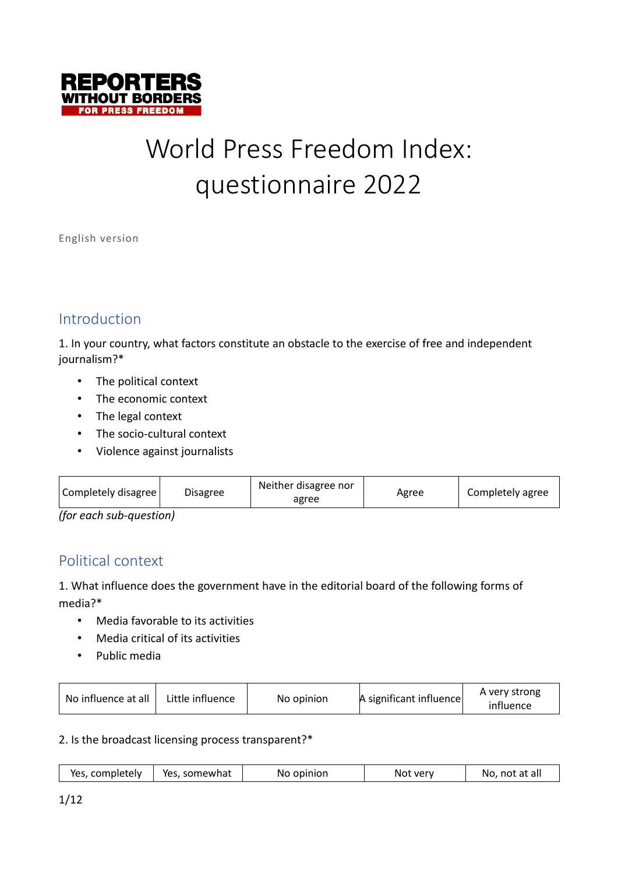

# World Press Freedom Index: questionnaire 2022

English version

# Introduction

1. In your country, what factors constitute an obstacle to the exercise of free and independent journalism?\*

- The political context
- The economic context
- The legal context
- The socio-cultural context
- Violence against journalists

| Completely disagree     | <b>Disagree</b> | Neither disagree nor<br>agree | Agree | Completely agree |
|-------------------------|-----------------|-------------------------------|-------|------------------|
| (for oach cub quoction) |                 |                               |       |                  |

*(for each sub-question)*

# Political context

1. What influence does the government have in the editorial board of the following forms of media?\*

- Media favorable to its activities
- Media critical of its activities
- Public media

| No influence at all<br>Little influence | No opinion | A significant influence | A very strong<br>influence |
|-----------------------------------------|------------|-------------------------|----------------------------|
|-----------------------------------------|------------|-------------------------|----------------------------|

2. Is the broadcast licensing process transparent?\*

| Yes, completely | Yes, somewhat | No opinion | Not very | No, not at all |
|-----------------|---------------|------------|----------|----------------|
|-----------------|---------------|------------|----------|----------------|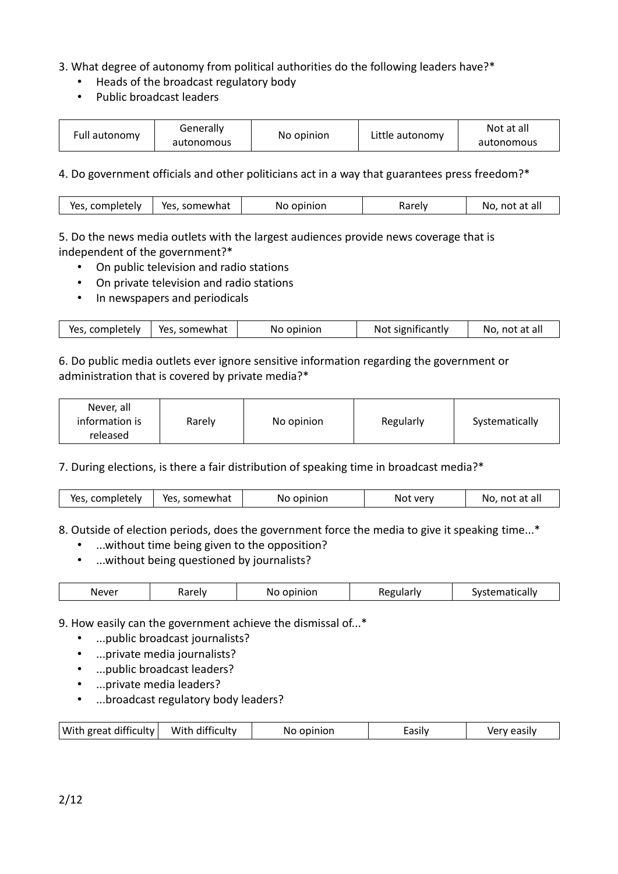## 3. What degree of autonomy from political authorities do the following leaders have?\*

- Heads of the broadcast regulatory body
- Public broadcast leaders

| Full autonomy | Generally  | No opinion | Little autonomy | Not at all |
|---------------|------------|------------|-----------------|------------|
|               | autonomous |            |                 | autonomous |

4. Do government officials and other politicians act in a way that guarantees press freedom?\*

| Yes, somewhat<br>Yes, completely<br>Rarely<br>No. not at all<br>No opinion |
|----------------------------------------------------------------------------|
|----------------------------------------------------------------------------|

5. Do the news media outlets with the largest audiences provide news coverage that is independent of the government?\*

- On public television and radio stations
- On private television and radio stations
- In newspapers and periodicals

| Yes, completely   Yes, somewhat | No opinion | Not significantly | No, not at all |
|---------------------------------|------------|-------------------|----------------|
|                                 |            |                   |                |

#### 6. Do public media outlets ever ignore sensitive information regarding the government or administration that is covered by private media?\*

| Never, all<br>information is<br>released | No opinion<br>Rarely | Regularly | Systematically |
|------------------------------------------|----------------------|-----------|----------------|
|------------------------------------------|----------------------|-----------|----------------|

7. During elections, is there a fair distribution of speaking time in broadcast media?\*

| Yes, somewhat<br>Yes, completely<br>No, not at all<br>No opinion<br>Not very |
|------------------------------------------------------------------------------|
|------------------------------------------------------------------------------|

8. Outside of election periods, does the government force the media to give it speaking time...\*

- ...without time being given to the opposition?
- ...without being questioned by journalists?

| Never<br>$\sim$ $\sim$ $\sim$ $\sim$ $\sim$ $\sim$<br>-0000-0011<br>.<br>arah<br>IΝC<br>עי<br>ΠΟΓ.<br>dll"<br>. .<br>$\cdots$<br>$\mathbf{H}$<br>.<br>narci<br><br>$\cdot$ $\cdot$ $\cdot$<br>____ |
|----------------------------------------------------------------------------------------------------------------------------------------------------------------------------------------------------|
|----------------------------------------------------------------------------------------------------------------------------------------------------------------------------------------------------|

9. How easily can the government achieve the dismissal of...\*

- ...public broadcast journalists?
- ...private media journalists?
- ...public broadcast leaders?
- ...private media leaders?
- ...broadcast regulatory body leaders?

| With great difficulty | With difficulty | No opinion | zasılv | Very easily |
|-----------------------|-----------------|------------|--------|-------------|
|                       |                 |            |        |             |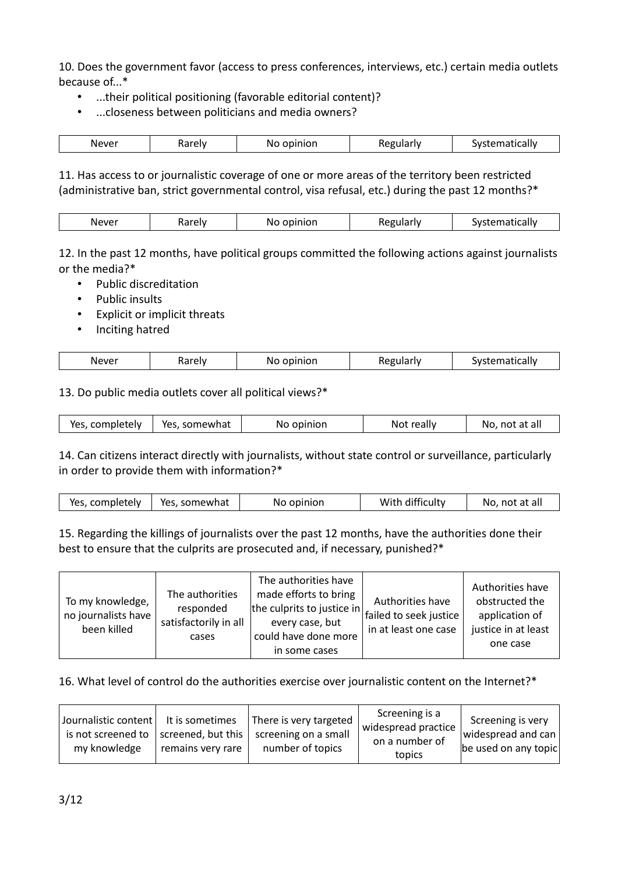10. Does the government favor (access to press conferences, interviews, etc.) certain media outlets because of...\*

- ...their political positioning (favorable editorial content)?
- ...closeness between politicians and media owners?

| Never | Pw<br>٦a | $\cdots$<br>$    -$<br>INO.<br>ווטוו | . | $- - - - + i - - 1$<br>יי<br>icali |
|-------|----------|--------------------------------------|---|------------------------------------|

11. Has access to or journalistic coverage of one or more areas of the territory been restricted (administrative ban, strict governmental control, visa refusal, etc.) during the past 12 months?\*

| IN C<br>∼ |
|-----------|
|-----------|

12. In the past 12 months, have political groups committed the following actions against journalists or the media?\*

- Public discreditation
- Public insults
- Explicit or implicit threats
- Inciting hatred

| Never | ural<br>ew<br>Raici | 20.10128<br>IV.<br>_______<br>$-$ | .<br>ĸF<br>. . | .<br>$\sim$<br>.<br>па |
|-------|---------------------|-----------------------------------|----------------|------------------------|
|       |                     |                                   |                |                        |

13. Do public media outlets cover all political views?\*

| Yes, completely | Yes, somewhat | No opinion | Not really | No, not at all |
|-----------------|---------------|------------|------------|----------------|
|                 |               |            |            |                |

14. Can citizens interact directly with journalists, without state control or surveillance, particularly in order to provide them with information?\*

| With difficulty<br>Yes, completely<br>Yes, somewhat<br>No, not at all<br>No opinion |
|-------------------------------------------------------------------------------------|
|-------------------------------------------------------------------------------------|

15. Regarding the killings of journalists over the past 12 months, have the authorities done their best to ensure that the culprits are prosecuted and, if necessary, punished?\*

| To my knowledge,<br>no journalists have<br>been killed | The authorities<br>responded<br>satisfactorily in all<br>cases | The authorities have<br>made efforts to bring<br>the culprits to justice in $\vert$ failed to seek justice<br>every case, but<br>could have done more<br>in some cases | Authorities have<br>in at least one case | Authorities have<br>obstructed the<br>application of<br>justice in at least<br>one case |
|--------------------------------------------------------|----------------------------------------------------------------|------------------------------------------------------------------------------------------------------------------------------------------------------------------------|------------------------------------------|-----------------------------------------------------------------------------------------|
|--------------------------------------------------------|----------------------------------------------------------------|------------------------------------------------------------------------------------------------------------------------------------------------------------------------|------------------------------------------|-----------------------------------------------------------------------------------------|

16. What level of control do the authorities exercise over journalistic content on the Internet?\*

| Journalistic content   It is sometimes<br>is not screened to<br>my knowledge | screened, but this<br>remains very rare | There is very targeted<br>screening on a small<br>number of topics | Screening is a<br>widespread practice<br>on a number of<br>topics | Screening is very<br>widespread and can<br>be used on any topic |
|------------------------------------------------------------------------------|-----------------------------------------|--------------------------------------------------------------------|-------------------------------------------------------------------|-----------------------------------------------------------------|
|------------------------------------------------------------------------------|-----------------------------------------|--------------------------------------------------------------------|-------------------------------------------------------------------|-----------------------------------------------------------------|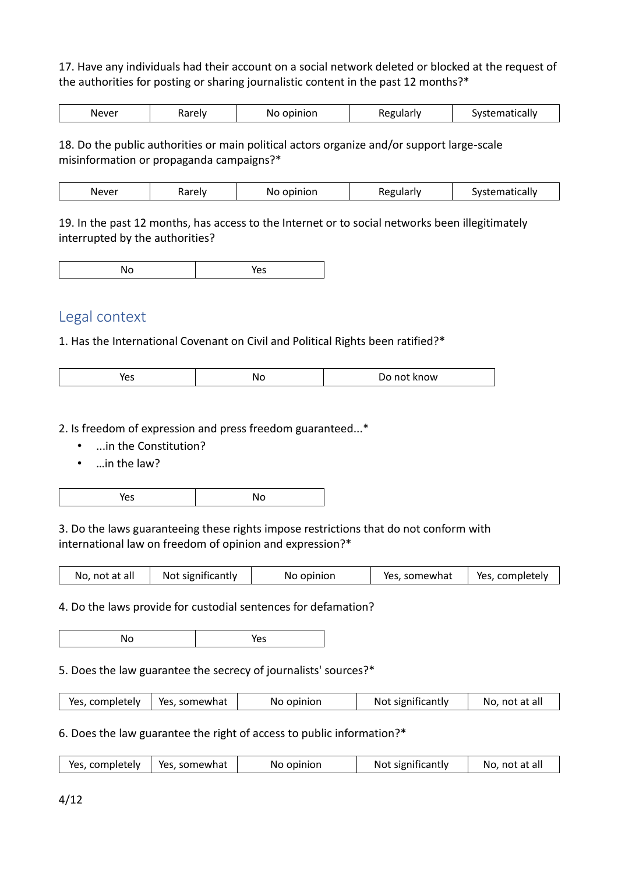17. Have any individuals had their account on a social network deleted or blocked at the request of the authorities for posting or sharing journalistic content in the past 12 months?\*

| Never<br>INC<br>∼ | $\sim$<br>чют.<br>IΝO<br>11 L | ه اس<br>w | .<br>w<br>lildii<br>на |
|-------------------|-------------------------------|-----------|------------------------|
|-------------------|-------------------------------|-----------|------------------------|

18. Do the public authorities or main political actors organize and/or support large-scale misinformation or propaganda campaigns?\*

| Never | ≅relv i<br>۱а<br>. | --------<br>m. | n ets.<br>. .<br>n- | , m _______<br>.w.<br>יי |
|-------|--------------------|----------------|---------------------|--------------------------|
|-------|--------------------|----------------|---------------------|--------------------------|

19. In the past 12 months, has access to the Internet or to social networks been illegitimately interrupted by the authorities?

|--|

# Legal context

1. Has the International Covenant on Civil and Political Rights been ratified?\*

| ----<br>NI<br>now<br>ີ<br>. .<br>.<br>__ |
|------------------------------------------|
|------------------------------------------|

2. Is freedom of expression and press freedom guaranteed...\*

- ...in the Constitution?
- …in the law?

|--|--|--|

3. Do the laws guaranteeing these rights impose restrictions that do not conform with international law on freedom of opinion and expression?\*

| No, not at all | Not significantly | No opinion | Yes, somewhat | Yes, completely |
|----------------|-------------------|------------|---------------|-----------------|
|                |                   |            |               |                 |

4. Do the laws provide for custodial sentences for defamation?

No Yes

5. Does the law guarantee the secrecy of journalists' sources?\*

| Yes, completely   Yes, somewhat<br>Not significantly<br>No, not at all<br>No opinion |
|--------------------------------------------------------------------------------------|
|--------------------------------------------------------------------------------------|

6. Does the law guarantee the right of access to public information?\*

| Yes, completely   Yes, somewhat | No opinion | Not significantly | No, not at all |
|---------------------------------|------------|-------------------|----------------|
|                                 |            |                   |                |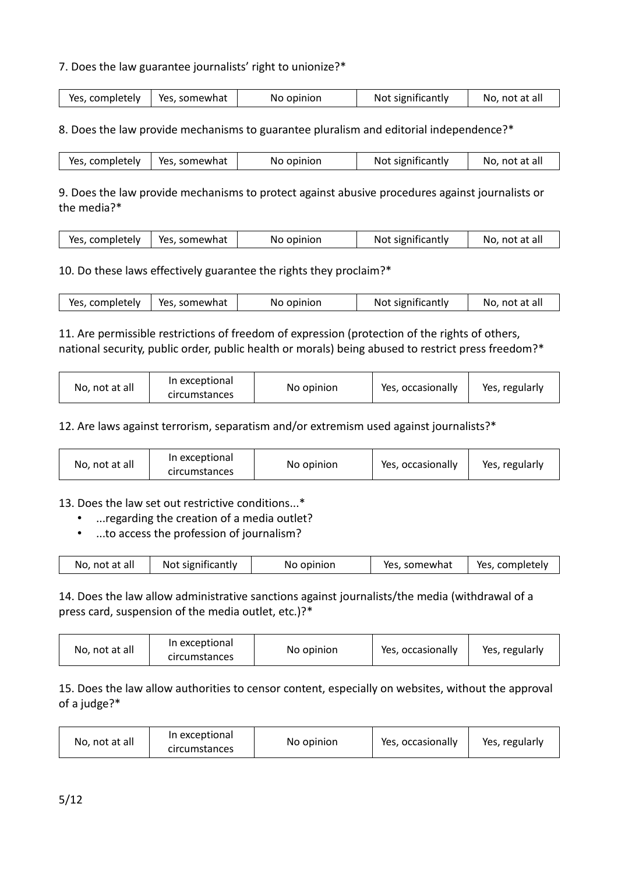## 7. Does the law guarantee journalists' right to unionize?\*

| Yes, somewhat<br>Yes, completely $\ $ | No opinion | Not significantly | No, not at all |
|---------------------------------------|------------|-------------------|----------------|
|---------------------------------------|------------|-------------------|----------------|

8. Does the law provide mechanisms to guarantee pluralism and editorial independence?\*

| Yes, completely   Yes, somewhat | No opinion | Not significantly | No, not at all |
|---------------------------------|------------|-------------------|----------------|
|---------------------------------|------------|-------------------|----------------|

9. Does the law provide mechanisms to protect against abusive procedures against journalists or the media?\*

| Yes, completely   Yes, somewhat<br>No opinion | Not significantly<br>No, not at all |  |
|-----------------------------------------------|-------------------------------------|--|
|                                               |                                     |  |

### 10. Do these laws effectively guarantee the rights they proclaim?\*

| Yes, completely   Yes, somewhat | No opinion | Not significantly | No, not at all |
|---------------------------------|------------|-------------------|----------------|
|                                 |            |                   |                |

11. Are permissible restrictions of freedom of expression (protection of the rights of others, national security, public order, public health or morals) being abused to restrict press freedom?\*

| In exceptional<br>No, not at all<br>No opinion<br><b>circumstances</b> | Yes, occasionally | Yes, regularly |
|------------------------------------------------------------------------|-------------------|----------------|
|------------------------------------------------------------------------|-------------------|----------------|

12. Are laws against terrorism, separatism and/or extremism used against journalists?\*

13. Does the law set out restrictive conditions...\*

- ...regarding the creation of a media outlet?
- ...to access the profession of journalism?

| No, not at all | Not significantly | No opinion | Yes, somewhat | Yes, completely |
|----------------|-------------------|------------|---------------|-----------------|
|                |                   |            |               |                 |

14. Does the law allow administrative sanctions against journalists/the media (withdrawal of a press card, suspension of the media outlet, etc.)?\*

| No, not at all | In exceptional<br>circumstances | No opinion | Yes, occasionally | Yes, regularly |
|----------------|---------------------------------|------------|-------------------|----------------|
|----------------|---------------------------------|------------|-------------------|----------------|

## 15. Does the law allow authorities to censor content, especially on websites, without the approval of a judge?\*

| In exceptional<br>No, not at all<br>circumstances | No opinion | Yes, occasionally | Yes, regularly |
|---------------------------------------------------|------------|-------------------|----------------|
|---------------------------------------------------|------------|-------------------|----------------|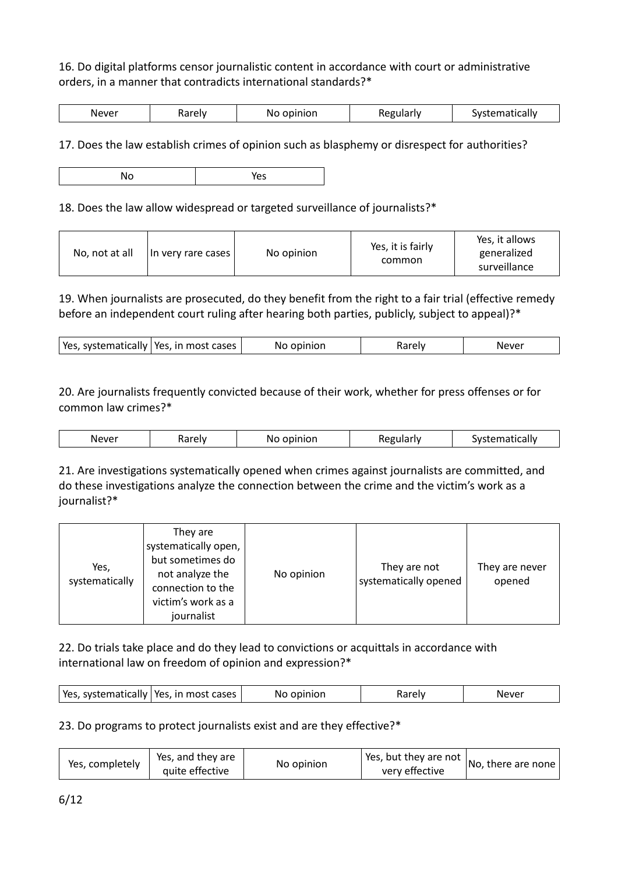## 16. Do digital platforms censor journalistic content in accordance with court or administrative orders, in a manner that contradicts international standards?\*

17. Does the law establish crimes of opinion such as blasphemy or disrespect for authorities?

No Yes

18. Does the law allow widespread or targeted surveillance of journalists?\*

| No opinion<br>No, not at all<br>  In very rare cases | Yes, it is fairly<br>common | Yes, it allows<br>generalized<br>surveillance |
|------------------------------------------------------|-----------------------------|-----------------------------------------------|
|------------------------------------------------------|-----------------------------|-----------------------------------------------|

19. When journalists are prosecuted, do they benefit from the right to a fair trial (effective remedy before an independent court ruling after hearing both parties, publicly, subject to appeal)?\*

| Yes, systematically<br>  Yes, in most cases<br>) aralı<br>Never<br>No opinion |
|-------------------------------------------------------------------------------|
|-------------------------------------------------------------------------------|

20. Are journalists frequently convicted because of their work, whether for press offenses or for common law crimes?\*

| Never<br>.<br>. rok<br>IΜ<br>υı<br>w<br>. L . I<br>$\cdots$<br>____<br>_____<br>$\sim$ |  |  |  |  |  |
|----------------------------------------------------------------------------------------|--|--|--|--|--|
|----------------------------------------------------------------------------------------|--|--|--|--|--|

21. Are investigations systematically opened when crimes against journalists are committed, and do these investigations analyze the connection between the crime and the victim's work as a journalist?\*

| Yes,<br>systematically | They are<br>systematically open,<br>but sometimes do<br>not analyze the<br>connection to the<br>victim's work as a<br>journalist | No opinion | They are not<br>systematically opened | They are never<br>opened |
|------------------------|----------------------------------------------------------------------------------------------------------------------------------|------------|---------------------------------------|--------------------------|
|------------------------|----------------------------------------------------------------------------------------------------------------------------------|------------|---------------------------------------|--------------------------|

22. Do trials take place and do they lead to convictions or acquittals in accordance with international law on freedom of opinion and expression?\*

## 23. Do programs to protect journalists exist and are they effective?\*

| Yes, completely | Yes, and they are<br>No opinion<br>quite effective | Yes, but they are not $\vert$<br>very effective | No, there are none |
|-----------------|----------------------------------------------------|-------------------------------------------------|--------------------|
|-----------------|----------------------------------------------------|-------------------------------------------------|--------------------|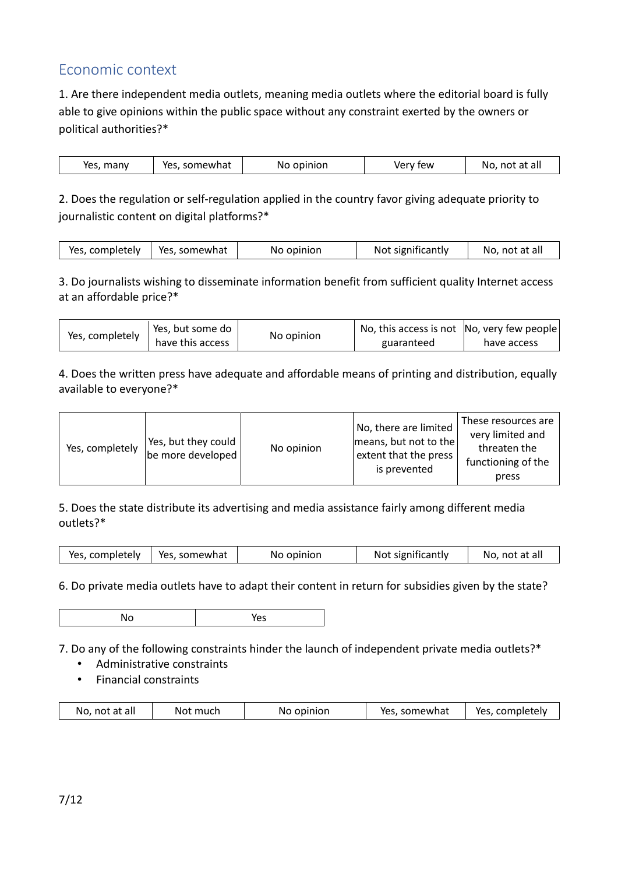# Economic context

1. Are there independent media outlets, meaning media outlets where the editorial board is fully able to give opinions within the public space without any constraint exerted by the owners or political authorities?\*

| Yes, many<br>Yes, somewhat | No opinion | Verv few | No. not at all |
|----------------------------|------------|----------|----------------|

2. Does the regulation or self-regulation applied in the country favor giving adequate priority to journalistic content on digital platforms?\*

| Yes, completely   Yes, somewhat | No opinion | Not significantly | No, not at all |
|---------------------------------|------------|-------------------|----------------|
|                                 |            |                   |                |

3. Do journalists wishing to disseminate information benefit from sufficient quality Internet access at an affordable price?\*

| Yes, completely | Yes, but some do |            | No, this access is not No, very few people |             |
|-----------------|------------------|------------|--------------------------------------------|-------------|
|                 | have this access | No opinion | guaranteed                                 | have access |

4. Does the written press have adequate and affordable means of printing and distribution, equally available to everyone?\*

| Yes, completely | Yes, but they could<br>be more developed | No opinion | No, there are limited<br>means, but not to the<br>extent that the press I<br>is prevented | These resources are<br>very limited and<br>threaten the<br>functioning of the<br>press |
|-----------------|------------------------------------------|------------|-------------------------------------------------------------------------------------------|----------------------------------------------------------------------------------------|
|-----------------|------------------------------------------|------------|-------------------------------------------------------------------------------------------|----------------------------------------------------------------------------------------|

5. Does the state distribute its advertising and media assistance fairly among different media outlets?\*

| Yes, somewhat<br>Yes, completely | No opinion | Not significantly | No, not at all |
|----------------------------------|------------|-------------------|----------------|
|----------------------------------|------------|-------------------|----------------|

6. Do private media outlets have to adapt their content in return for subsidies given by the state?

|  | ີ |
|--|---|
|--|---|

7. Do any of the following constraints hinder the launch of independent private media outlets?\*

- Administrative constraints
- Financial constraints

| No, not at all | Not much | No opinion | Yes, somewhat | Yes, completely |
|----------------|----------|------------|---------------|-----------------|
|                |          |            |               |                 |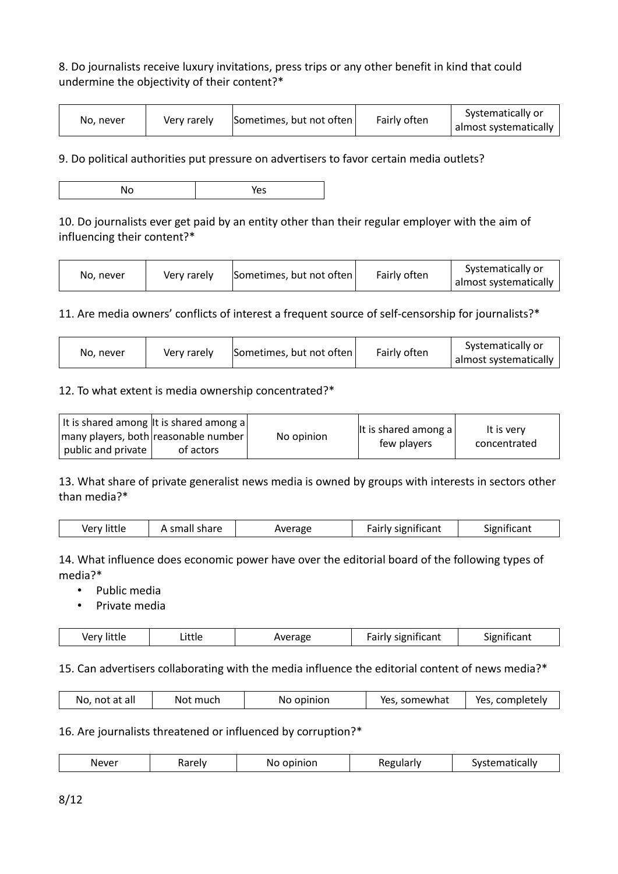# 8. Do journalists receive luxury invitations, press trips or any other benefit in kind that could undermine the objectivity of their content?\*

| No. never | Very rarely | Sometimes, but not often | Fairly often | Systematically or<br>almost systematically |
|-----------|-------------|--------------------------|--------------|--------------------------------------------|
|-----------|-------------|--------------------------|--------------|--------------------------------------------|

9. Do political authorities put pressure on advertisers to favor certain media outlets?

10. Do journalists ever get paid by an entity other than their regular employer with the aim of influencing their content?\*

| No. never | Very rarely | Sometimes, but not often | Fairly often | Systematically or<br>almost systematically |
|-----------|-------------|--------------------------|--------------|--------------------------------------------|
|-----------|-------------|--------------------------|--------------|--------------------------------------------|

11. Are media owners' conflicts of interest a frequent source of self-censorship for journalists?\*

### 12. To what extent is media ownership concentrated?\*

|                    | It is shared among It is shared among a<br>many players, both reasonable number | No opinion | It is shared among $a$<br>few players | It is very<br>concentrated |
|--------------------|---------------------------------------------------------------------------------|------------|---------------------------------------|----------------------------|
| public and private | of actors                                                                       |            |                                       |                            |

13. What share of private generalist news media is owned by groups with interests in sectors other than media?\*

|  | Very little | A small share | Average | <b>Fairly significant</b> | Significant |
|--|-------------|---------------|---------|---------------------------|-------------|
|--|-------------|---------------|---------|---------------------------|-------------|

14. What influence does economic power have over the editorial board of the following types of media?\*

• Public media

• Private media

| ver<br>ιιττιε | Little | Average | significant<br>airiv- | ıcant<br>זווופור |
|---------------|--------|---------|-----------------------|------------------|
|               |        |         |                       |                  |

#### 15. Can advertisers collaborating with the media influence the editorial content of news media?\*

| No, not at all<br>Yes, completely<br>Not much<br>No opinion<br>Yes, somewhat |  |
|------------------------------------------------------------------------------|--|
|------------------------------------------------------------------------------|--|

#### 16. Are journalists threatened or influenced by corruption?\*

| Never<br>ematically<br>egulariv<br>٠ρΙν<br>N<br>. svr<br>. יוטור<br>ונזנ<br>naic<br>Ω٣<br>. |
|---------------------------------------------------------------------------------------------|
|---------------------------------------------------------------------------------------------|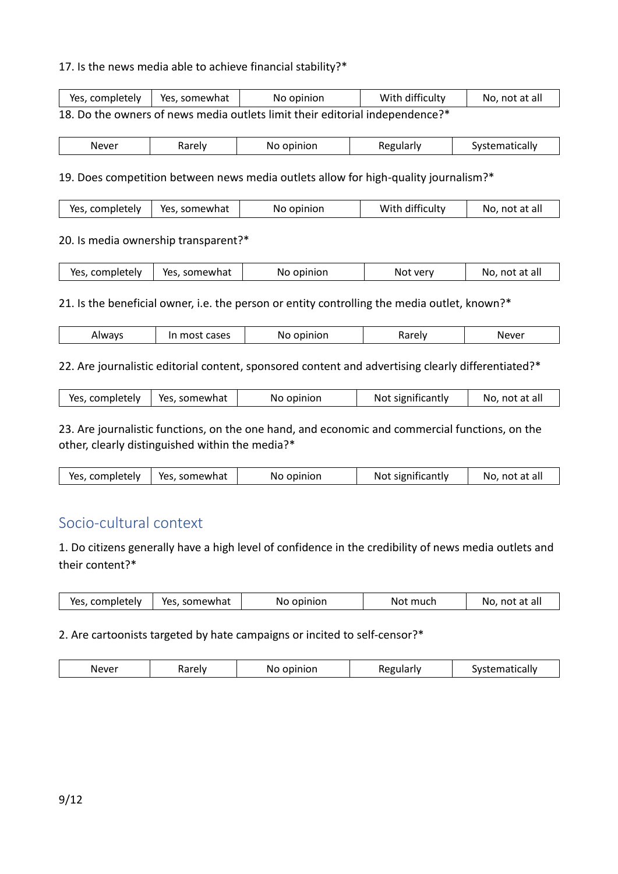#### 17. Is the news media able to achieve financial stability?\*

| Yes, completely   Yes, somewhat | No opinion                                                                   | With difficulty | No, not at all |
|---------------------------------|------------------------------------------------------------------------------|-----------------|----------------|
|                                 | 18. Do the owners of news media outlets limit their editorial independence?* |                 |                |

| Never | 'arely | opinion<br>NΟ | Regularly | Systematically |
|-------|--------|---------------|-----------|----------------|

#### 19. Does competition between news media outlets allow for high-quality journalism?\*

|  | Yes, completely   Yes, somewhat | No opinion | With difficulty | No, not at all |
|--|---------------------------------|------------|-----------------|----------------|
|--|---------------------------------|------------|-----------------|----------------|

#### 20. Is media ownership transparent?\*

| Yes, completely | Yes, somewhat | No opinion | Not very | No, not at all |
|-----------------|---------------|------------|----------|----------------|
|                 |               |            |          |                |

21. Is the beneficial owner, i.e. the person or entity controlling the media outlet, known?\*

| Alwavs<br>$\cdots$ | cases<br>$\sim$<br>. .<br> | - -<br>N | 3rok. | Never |
|--------------------|----------------------------|----------|-------|-------|
|--------------------|----------------------------|----------|-------|-------|

#### 22. Are journalistic editorial content, sponsored content and advertising clearly differentiated?\*

| Yes, completely   Yes, somewhat | No opinion | Not significantly | No, not at all |
|---------------------------------|------------|-------------------|----------------|
|                                 |            |                   |                |

23. Are journalistic functions, on the one hand, and economic and commercial functions, on the other, clearly distinguished within the media?\*

| No, not at all<br>Not significantly<br>Yes, completely   Yes, somewhat<br>No opinion |
|--------------------------------------------------------------------------------------|
|--------------------------------------------------------------------------------------|

# Socio-cultural context

1. Do citizens generally have a high level of confidence in the credibility of news media outlets and their content?\*

| No, not at all<br>Yes, completely<br>Yes, somewhat<br>Not much<br>No opinion |
|------------------------------------------------------------------------------|
|------------------------------------------------------------------------------|

#### 2. Are cartoonists targeted by hate campaigns or incited to self-censor?\*

| .<br>$\sim$<br>$^{\prime}$<br>.<br>____ | $\sim$ $\sim$ $\sim$<br>w | . | .<br>w |
|-----------------------------------------|---------------------------|---|--------|
|-----------------------------------------|---------------------------|---|--------|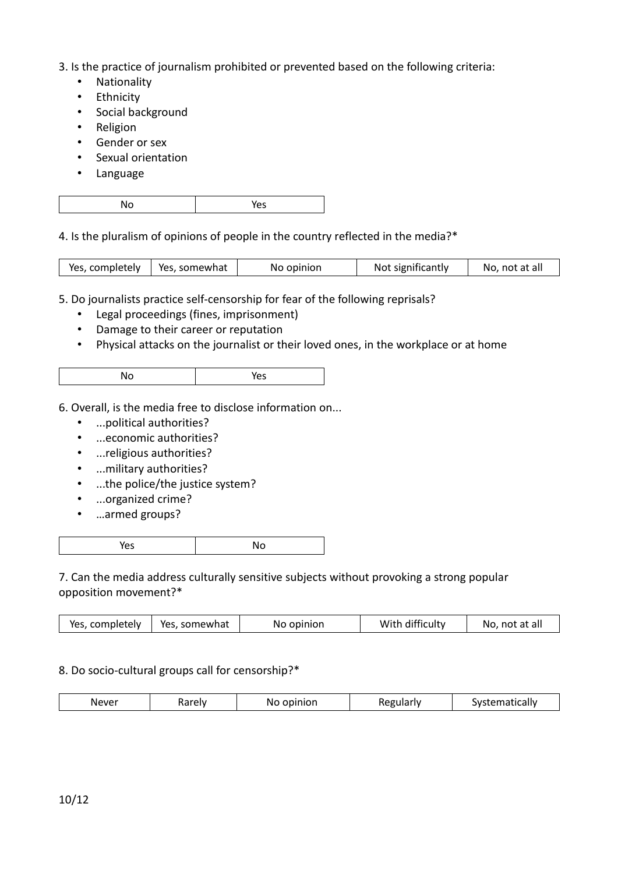- 3. Is the practice of journalism prohibited or prevented based on the following criteria:
	- Nationality
	- Ethnicity
	- Social background
	- Religion
	- Gender or sex
	- Sexual orientation
	- Language

| . .<br>$\sim$ | ີ |
|---------------|---|
|---------------|---|

4. Is the pluralism of opinions of people in the country reflected in the media?\*

| Yes, completely   Yes, somewhat | No opinion | Not significantly | No, not at all |
|---------------------------------|------------|-------------------|----------------|
|                                 |            |                   |                |

5. Do journalists practice self-censorship for fear of the following reprisals?

- Legal proceedings (fines, imprisonment)
- Damage to their career or reputation
- Physical attacks on the journalist or their loved ones, in the workplace or at home

- 6. Overall, is the media free to disclose information on...
	- ...political authorities?
	- ...economic authorities?
	- ...religious authorities?
	- ...military authorities?
	- ...the police/the justice system?
	- ...organized crime?
	- …armed groups?

|--|

7. Can the media address culturally sensitive subjects without provoking a strong popular opposition movement?\*

| Yes, completely   Yes, somewhat |  |  |  | No opinion | With difficulty | No, not at all |
|---------------------------------|--|--|--|------------|-----------------|----------------|
|---------------------------------|--|--|--|------------|-----------------|----------------|

## 8. Do socio-cultural groups call for censorship?\*

| Never | . | $\sim$ $\sim$<br>.<br>'NC<br>י וטוו י | ٦t | .<br>.<br>w<br>lildii<br>ша |
|-------|---|---------------------------------------|----|-----------------------------|
|-------|---|---------------------------------------|----|-----------------------------|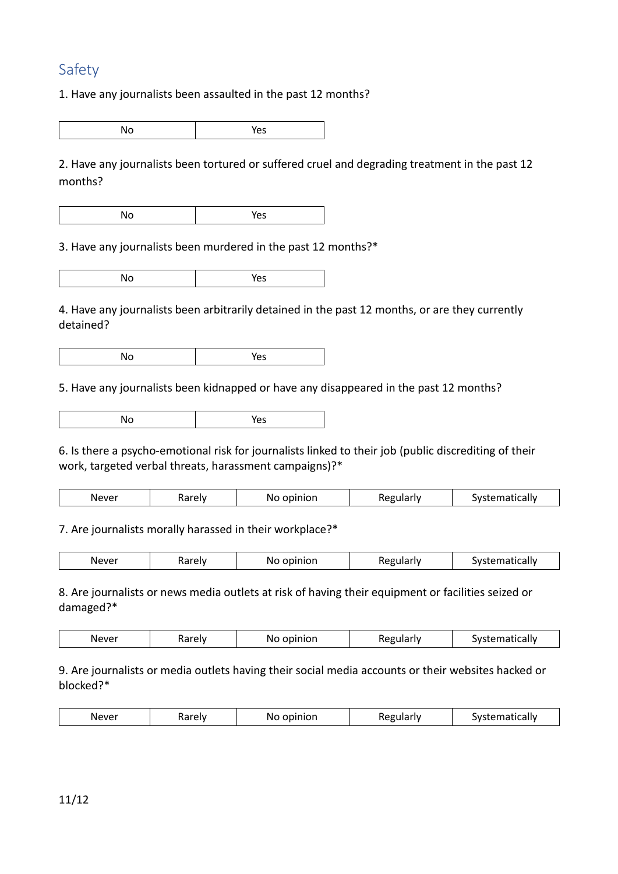# Safety

1. Have any journalists been assaulted in the past 12 months?

No Yes

2. Have any journalists been tortured or suffered cruel and degrading treatment in the past 12 months?

No Yes

3. Have any journalists been murdered in the past 12 months?\*

No Yes

4. Have any journalists been arbitrarily detained in the past 12 months, or are they currently detained?

No Yes

5. Have any journalists been kidnapped or have any disappeared in the past 12 months?

| $\cdot$ |  |
|---------|--|
|---------|--|

6. Is there a psycho-emotional risk for journalists linked to their job (public discrediting of their work, targeted verbal threats, harassment campaigns)?\*

| Never<br>$\sim$ $\sim$ $\sim$ $\sim$ $\sim$ | ⊶™<br>1101C | 20.10101<br>IΜ<br>ווטו<br>$-$ | . | .<br>w<br>.dl' |
|---------------------------------------------|-------------|-------------------------------|---|----------------|
|                                             |             |                               |   |                |

7. Are journalists morally harassed in their workplace?\*

| $\mathbf{v}$<br>noimige<br>Jdll⊻<br>r.<br>val ci <sub>v</sub><br>$-$ | Never | $1 - 2 - 1$ | .<br>No | . | . |
|----------------------------------------------------------------------|-------|-------------|---------|---|---|
|----------------------------------------------------------------------|-------|-------------|---------|---|---|

8. Are journalists or news media outlets at risk of having their equipment or facilities seized or damaged?\*

|  | $\cdots$<br>ineve.<br>$\cdot$ | naici | $\sim$ $\sim$ $\sim$<br>IМ<br>$-$ | .<br>__ | יי |
|--|-------------------------------|-------|-----------------------------------|---------|----|
|--|-------------------------------|-------|-----------------------------------|---------|----|

9. Are journalists or media outlets having their social media accounts or their websites hacked or blocked?\*

| Never<br>$\cdot$ |  | $\sim$ $\sim$<br>IМ | . | יי |
|------------------|--|---------------------|---|----|
|------------------|--|---------------------|---|----|